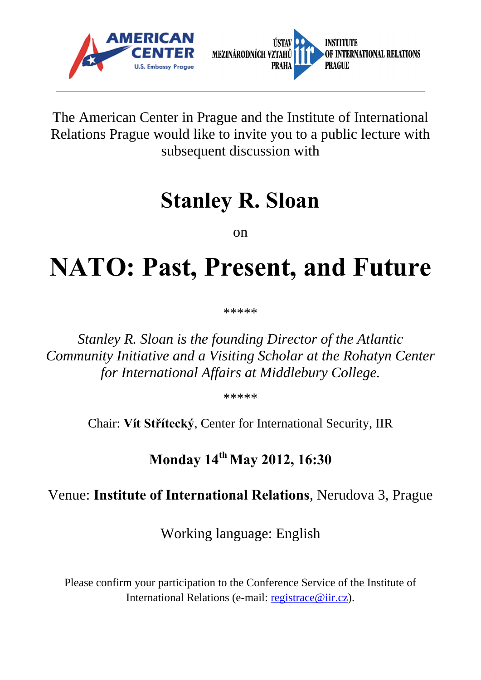



The American Center in Prague and the Institute of International Relations Prague would like to invite you to a public lecture with subsequent discussion with

## **Stanley R. Sloan**

on

## **NATO: Past, Present, and Future**

\*\*\*\*\*

*Stanley R. Sloan is the founding Director of the Atlantic Community Initiative and a Visiting Scholar at the Rohatyn Center for International Affairs at Middlebury College.* 

\*\*\*\*\*

Chair: **Vít Střítecký**, Center for International Security, IIR

**Monday 14th May 2012, 16:30**

## Venue: **Institute of International Relations**, Nerudova 3, Prague

Working language: English

Please confirm your participation to the Conference Service of the Institute of International Relations (e-mail: registrace@iir.cz).